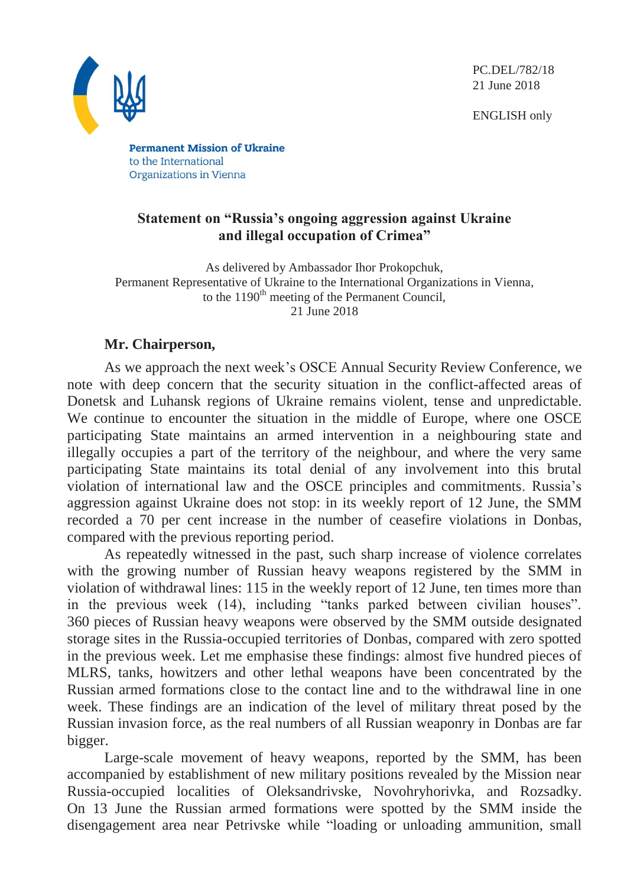PC.DEL/782/18 21 June 2018

ENGLISH only



**Permanent Mission of Ukraine** to the International Organizations in Vienna

## **Statement on "Russia's ongoing aggression against Ukraine and illegal occupation of Crimea"**

As delivered by Ambassador Ihor Prokopchuk, Permanent Representative of Ukraine to the International Organizations in Vienna, to the  $1190<sup>th</sup>$  meeting of the Permanent Council, 21 June 2018

# **Mr. Chairperson,**

As we approach the next week's OSCE Annual Security Review Conference, we note with deep concern that the security situation in the conflict-affected areas of Donetsk and Luhansk regions of Ukraine remains violent, tense and unpredictable. We continue to encounter the situation in the middle of Europe, where one OSCE participating State maintains an armed intervention in a neighbouring state and illegally occupies a part of the territory of the neighbour, and where the very same participating State maintains its total denial of any involvement into this brutal violation of international law and the OSCE principles and commitments. Russia's aggression against Ukraine does not stop: in its weekly report of 12 June, the SMM recorded a 70 per cent increase in the number of ceasefire violations in Donbas, compared with the previous reporting period.

As repeatedly witnessed in the past, such sharp increase of violence correlates with the growing number of Russian heavy weapons registered by the SMM in violation of withdrawal lines: 115 in the weekly report of 12 June, ten times more than in the previous week (14), including "tanks parked between civilian houses". 360 pieces of Russian heavy weapons were observed by the SMM outside designated storage sites in the Russia-occupied territories of Donbas, compared with zero spotted in the previous week. Let me emphasise these findings: almost five hundred pieces of MLRS, tanks, howitzers and other lethal weapons have been concentrated by the Russian armed formations close to the contact line and to the withdrawal line in one week. These findings are an indication of the level of military threat posed by the Russian invasion force, as the real numbers of all Russian weaponry in Donbas are far bigger.

Large-scale movement of heavy weapons, reported by the SMM, has been accompanied by establishment of new military positions revealed by the Mission near Russia-occupied localities of Oleksandrivske, Novohryhorivka, and Rozsadky. On 13 June the Russian armed formations were spotted by the SMM inside the disengagement area near Petrivske while "loading or unloading ammunition, small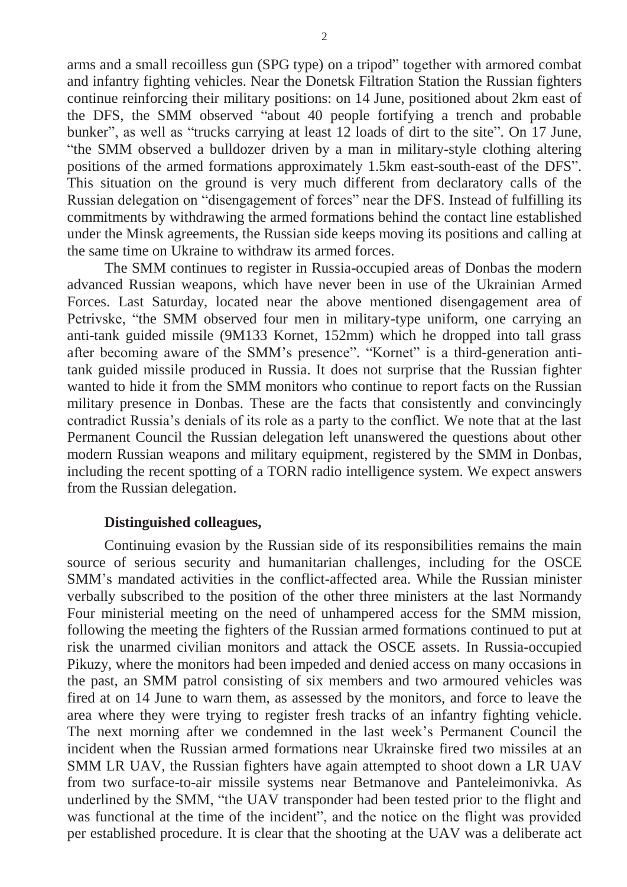arms and a small recoilless gun (SPG type) on a tripod" together with armored combat and infantry fighting vehicles. Near the Donetsk Filtration Station the Russian fighters continue reinforcing their military positions: on 14 June, positioned about 2km east of the DFS, the SMM observed "about 40 people fortifying a trench and probable bunker", as well as "trucks carrying at least 12 loads of dirt to the site". On 17 June, "the SMM observed a bulldozer driven by a man in military-style clothing altering positions of the armed formations approximately 1.5km east-south-east of the DFS". This situation on the ground is very much different from declaratory calls of the Russian delegation on "disengagement of forces" near the DFS. Instead of fulfilling its commitments by withdrawing the armed formations behind the contact line established under the Minsk agreements, the Russian side keeps moving its positions and calling at the same time on Ukraine to withdraw its armed forces.

The SMM continues to register in Russia-occupied areas of Donbas the modern advanced Russian weapons, which have never been in use of the Ukrainian Armed Forces. Last Saturday, located near the above mentioned disengagement area of Petrivske, "the SMM observed four men in military-type uniform, one carrying an anti-tank guided missile (9M133 Kornet, 152mm) which he dropped into tall grass after becoming aware of the SMM's presence". "Kornet" is a third-generation antitank guided missile produced in Russia. It does not surprise that the Russian fighter wanted to hide it from the SMM monitors who continue to report facts on the Russian military presence in Donbas. These are the facts that consistently and convincingly contradict Russia's denials of its role as a party to the conflict. We note that at the last Permanent Council the Russian delegation left unanswered the questions about other modern Russian weapons and military equipment, registered by the SMM in Donbas, including the recent spotting of a TORN radio intelligence system. We expect answers from the Russian delegation.

#### **Distinguished colleagues,**

Continuing evasion by the Russian side of its responsibilities remains the main source of serious security and humanitarian challenges, including for the OSCE SMM's mandated activities in the conflict-affected area. While the Russian minister verbally subscribed to the position of the other three ministers at the last Normandy Four ministerial meeting on the need of unhampered access for the SMM mission, following the meeting the fighters of the Russian armed formations continued to put at risk the unarmed civilian monitors and attack the OSCE assets. In Russia-occupied Pikuzy, where the monitors had been impeded and denied access on many occasions in the past, an SMM patrol consisting of six members and two armoured vehicles was fired at on 14 June to warn them, as assessed by the monitors, and force to leave the area where they were trying to register fresh tracks of an infantry fighting vehicle. The next morning after we condemned in the last week's Permanent Council the incident when the Russian armed formations near Ukrainske fired two missiles at an SMM LR UAV, the Russian fighters have again attempted to shoot down a LR UAV from two surface-to-air missile systems near Betmanove and Panteleimonivka. As underlined by the SMM, "the UAV transponder had been tested prior to the flight and was functional at the time of the incident", and the notice on the flight was provided per established procedure. It is clear that the shooting at the UAV was a deliberate act